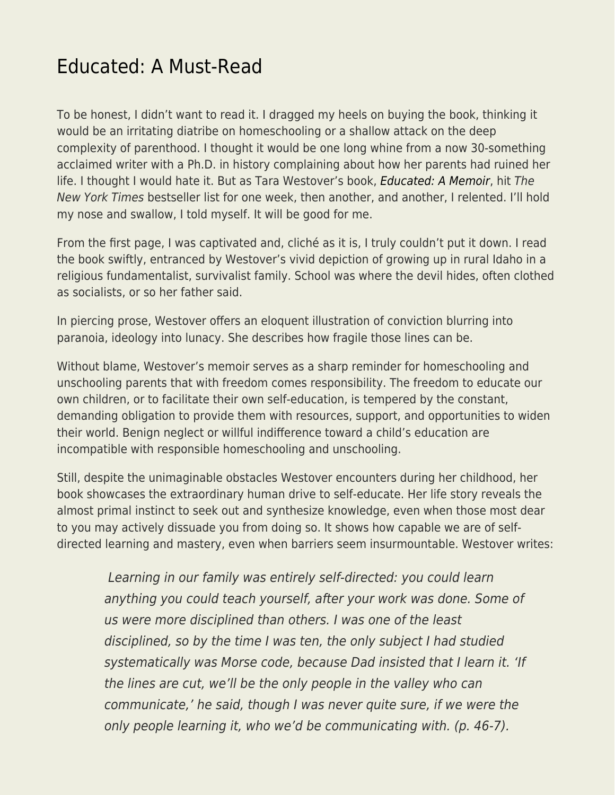## [Educated: A Must-Read](https://everything-voluntary.com/educated-a-must-read)

To be honest, I didn't want to read it. I dragged my heels on buying the book, thinking it would be an irritating diatribe on homeschooling or a shallow attack on the deep complexity of parenthood. I thought it would be one long whine from a now 30-something acclaimed writer with a Ph.D. in history complaining about how her parents had ruined her life. I thought I would hate it. But as Tara Westover's book, [Educated: A Memoir](https://amzn.to/2qceVuQ), hit The New York Times bestseller list for one week, then another, and another, I relented. I'll hold my nose and swallow, I told myself. It will be good for me.

From the first page, I was captivated and, cliché as it is, I truly couldn't put it down. I read the book swiftly, entranced by Westover's vivid depiction of growing up in rural Idaho in a religious fundamentalist, survivalist family. School was where the devil hides, often clothed as socialists, or so her father said.

In piercing prose, Westover offers an eloquent illustration of conviction blurring into paranoia, ideology into lunacy. She describes how fragile those lines can be.

Without blame, Westover's memoir serves as a sharp reminder for homeschooling and unschooling parents that with freedom comes responsibility. The freedom to educate our own children, or to facilitate their own self-education, is tempered by the constant, demanding obligation to provide them with resources, support, and opportunities to widen their world. Benign neglect or willful indifference toward a child's education are incompatible with responsible homeschooling and unschooling.

Still, despite the unimaginable obstacles Westover encounters during her childhood, her book showcases the extraordinary human drive to self-educate. Her life story reveals the almost primal instinct to seek out and synthesize knowledge, even when those most dear to you may actively dissuade you from doing so. It shows how capable we are of selfdirected learning and mastery, even when barriers seem insurmountable. Westover writes:

 Learning in our family was entirely self-directed: you could learn anything you could teach yourself, after your work was done. Some of us were more disciplined than others. I was one of the least disciplined, so by the time I was ten, the only subject I had studied systematically was Morse code, because Dad insisted that I learn it. 'If the lines are cut, we'll be the only people in the valley who can communicate,' he said, though I was never quite sure, if we were the only people learning it, who we'd be communicating with. (p. 46-7).